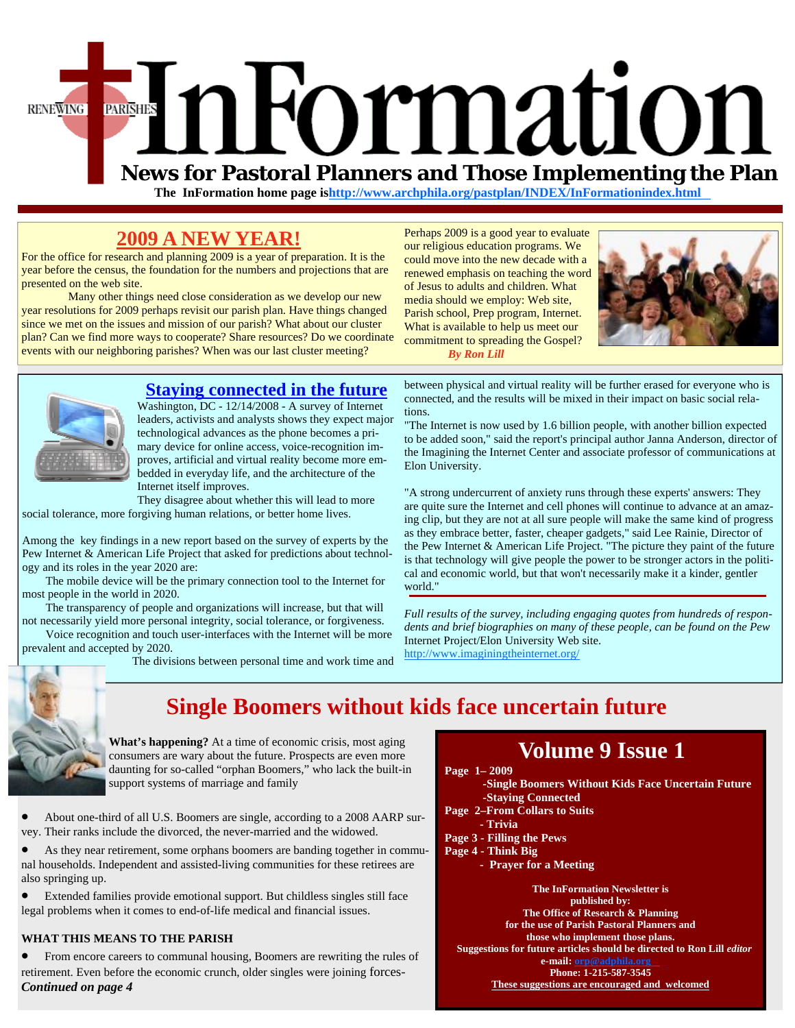

 **The InFormation home page is[http://www.archphila.org/pastplan/](http://archphila.org/pastplan/INDEX/InFormationindex.html)INDEX/InFormationindex.html**

tions.

Elon University.

### **2009 A NEW YEAR!**

For the office for research and planning 2009 is a year of preparation. It is the year before the census, the foundation for the numbers and projections that are presented on the web site.

 Many other things need close consideration as we develop our new year resolutions for 2009 perhaps revisit our parish plan. Have things changed since we met on the issues and mission of our parish? What about our cluster plan? Can we find more ways to cooperate? Share resources? Do we coordinate events with our neighboring parishes? When was our last cluster meeting?

Perhaps 2009 is a good year to evaluate our religious education programs. We could move into the new decade with a renewed emphasis on teaching the word of Jesus to adults and children. What media should we employ: Web site, Parish school, Prep program, Internet. What is available to help us meet our commitment to spreading the Gospel?



 *By Ron Lill*



### **Staying connected in the future**

Washington, DC - 12/14/2008 - A survey of Internet leaders, activists and analysts shows they expect major technological advances as the phone becomes a primary device for online access, voice-recognition improves, artificial and virtual reality become more embedded in everyday life, and the architecture of the Internet itself improves.

They disagree about whether this will lead to more social tolerance, more forgiving human relations, or better home lives.

Among the key findings in a new report based on the survey of experts by the Pew Internet & American Life Project that asked for predictions about technology and its roles in the year 2020 are:

 The mobile device will be the primary connection tool to the Internet for most people in the world in 2020.

 The transparency of people and organizations will increase, but that will not necessarily yield more personal integrity, social tolerance, or forgiveness.

 Voice recognition and touch user-interfaces with the Internet will be more prevalent and accepted by 2020.

The divisions between personal time and work time and



### **Single Boomers without kids face uncertain future**

world."

**What's happening?** At a time of economic crisis, most aging consumers are wary about the future. Prospects are even more daunting for so-called "orphan Boomers," who lack the built-in support systems of marriage and family

• About one-third of all U.S. Boomers are single, according to a 2008 AARP survey. Their ranks include the divorced, the never-married and the widowed.

• As they near retirement, some orphans boomers are banding together in communal households. Independent and assisted-living communities for these retirees are also springing up.

• Extended families provide emotional support. But childless singles still face legal problems when it comes to end-of-life medical and financial issues.

#### **WHAT THIS MEANS TO THE PARISH**

• From encore careers to communal housing, Boomers are rewriting the rules of retirement. Even before the economic crunch, older singles were joining forces-*Continued on page 4*

### **Volume 9 Issue 1**

between physical and virtual reality will be further erased for everyone who is connected, and the results will be mixed in their impact on basic social rela-

"The Internet is now used by 1.6 billion people, with another billion expected to be added soon," said the report's principal author Janna Anderson, director of the Imagining the Internet Center and associate professor of communications at

"A strong undercurrent of anxiety runs through these experts' answers: They are quite sure the Internet and cell phones will continue to advance at an amazing clip, but they are not at all sure people will make the same kind of progress as they embrace better, faster, cheaper gadgets," said Lee Rainie, Director of the Pew Internet & American Life Project. "The picture they paint of the future is that technology will give people the power to be stronger actors in the political and economic world, but that won't necessarily make it a kinder, gentler

*Full results of the survey, including engaging quotes from hundreds of respondents and brief biographies on many of these people, can be found on the Pew* 

 **Page 1– 2009** 

Internet Project/Elon University Web site. http://www.imaginingtheinternet.org/

- **-Single Boomers Without Kids Face Uncertain Future -Staying Connected**
- **Page 2–From Collars to Suits**
- **Trivia**
- **Page 3 Filling the Pews**
- **Page 4 Think Big** 
	- **Prayer for a Meeting**

**The InFormation Newsletter is published by: The Office of Research & Planning for the use of Parish Pastoral Planners and those who implement those plans. Suggestions for future articles should be directed to Ron Lill** *editor*  **e-mail: orp@adphila.org Phone: 1-215-587-3545 These suggestions are encouraged and welcomed**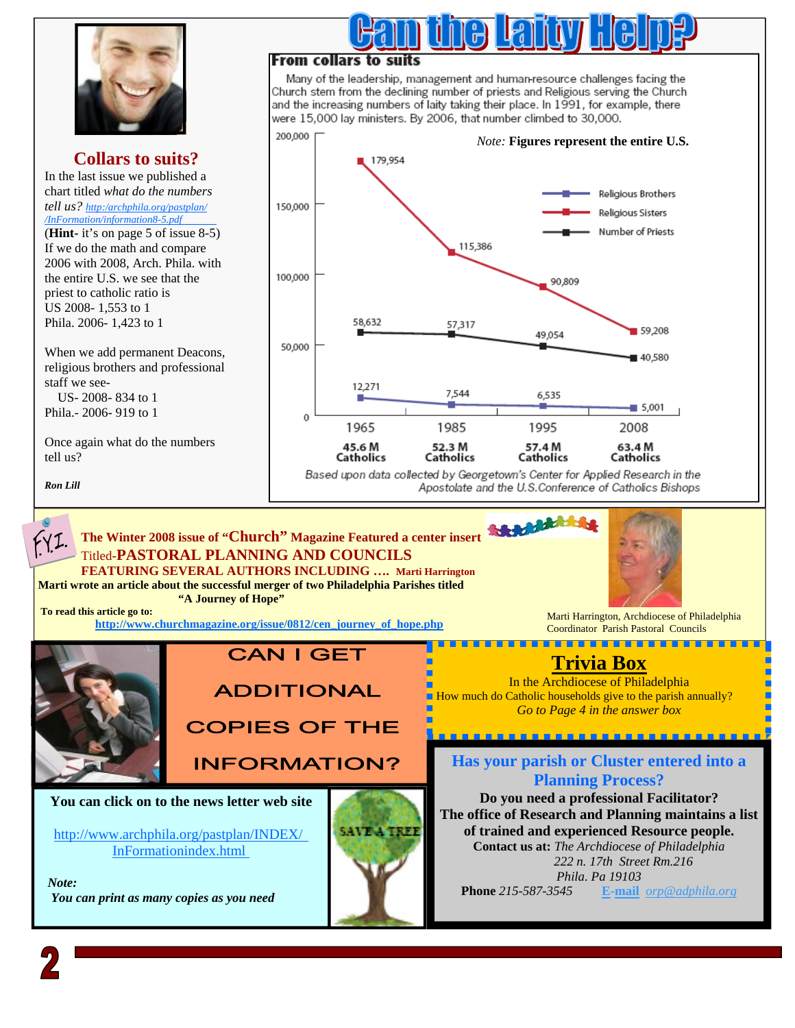

### **Collars to suits?**

In the last issue we published a chart titled *what do the numbers [tell us? http:/archphila.org/pastplan/](http://www.archphila.org/pastplan/InFormation/information8-5.pdf) /InFormation/information8-5.pdf* 

(**Hint-** it's on page 5 of issue 8-5) If we do the math and compare 2006 with 2008, Arch. Phila. with the entire U.S. we see that the priest to catholic ratio is US 2008- 1,553 to 1 Phila. 2006- 1,423 to 1

When we add permanent Deacons, religious brothers and professional staff we see-

 US- 2008- 834 to 1 Phila.- 2006- 919 to 1

Once again what do the numbers tell us?

*Ron Lill* 

### From collars to suits

Many of the leadership, management and human-resource challenges facing the Church stem from the declining number of priests and Religious serving the Church and the increasing numbers of laity taking their place. In 1991, for example, there were 15,000 lay ministers. By 2006, that number climbed to 30,000.



Based upon data collected by Georgetown's Center for Applied Research in the Apostolate and the U.S.Conference of Catholics Bishops

**Scholand** 

#### **The Winter 2008 issue of "Church" Magazine Featured a center insert**  FYI. Titled**-PASTORAL PLANNING AND COUNCILS FEATURING SEVERAL AUTHORS INCLUDING …. Marti Harrington Marti wrote an article about the successful merger of two Philadelphia Parishes titled**

 **"A Journey of Hope"** 



Marti Harrington, Archdiocese of Philadelphia Coordinator Parish Pastoral Councils . . . . . . . . . . . . . . .

----------------

### **Trivia Box**

In the Archdiocese of Philadelphia How much do Catholic households give to the parish annually? *Go to Page 4 in the answer box* 

**Has your parish or Cluster entered into a Planning Process?** 

**Do you need a professional Facilitator? The office of Research and Planning maintains a list of trained and experienced Resource people. Contact us at:** *The Archdiocese of Philadelphia 222 n. 17th Street Rm.216 Phila. Pa 19103*  **Phone** *215-587-3545* **E-mail** *orp@adphila.org* 



 **To read this article go to:** 

## **CAN I GET**

**ADDITIONAL** 

**COPIES OF THE** 

**INFORMATION?** 

#### **You can click on to the news letter web site**

[http://www.archphila.org/pastplan/](http://archphila.org/pastplan/INDEX/InFormationindex.html)INDEX/ InFormationindex.html

 *Note: You can print as many copies as you need* 



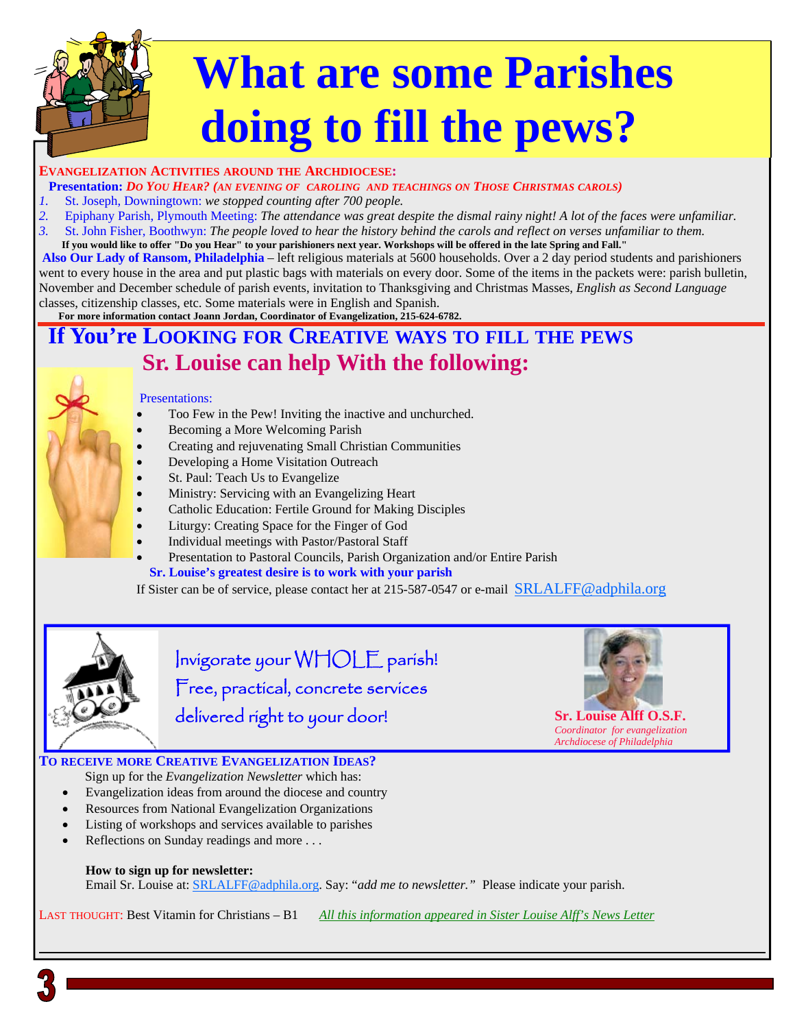# **What are some Parishes doing to fill the pews?**

#### **EVANGELIZATION ACTIVITIES AROUND THE ARCHDIOCESE:**

**Presentation:** *DO YOU HEAR? (AN EVENING OF CAROLING AND TEACHINGS ON THOSE CHRISTMAS CAROLS)* 

- *1.* St. Joseph, Downingtown: *we stopped counting after 700 people.*
- *2.* Epiphany Parish, Plymouth Meeting: *The attendance was great despite the dismal rainy night! A lot of the faces were unfamiliar.*
- *3.* St. John Fisher, Boothwyn: *The people loved to hear the history behind the carols and reflect on verses unfamiliar to them.*

**If you would like to offer "Do you Hear" to your parishioners next year. Workshops will be offered in the late Spring and Fall."** 

 **Also Our Lady of Ransom, Philadelphia** – left religious materials at 5600 households. Over a 2 day period students and parishioners went to every house in the area and put plastic bags with materials on every door. Some of the items in the packets were: parish bulletin, November and December schedule of parish events, invitation to Thanksgiving and Christmas Masses, *English as Second Language*  classes, citizenship classes, etc. Some materials were in English and Spanish.

**For more information contact Joann Jordan, Coordinator of Evangelization, 215-624-6782.** 

### **If You're LOOKING FOR CREATIVE WAYS TO FILL THE PEWS Sr. Louise can help With the following:**

#### Presentations:

- Too Few in the Pew! Inviting the inactive and unchurched.
- Becoming a More Welcoming Parish
- Creating and rejuvenating Small Christian Communities
- Developing a Home Visitation Outreach
- St. Paul: Teach Us to Evangelize
- Ministry: Servicing with an Evangelizing Heart
- Catholic Education: Fertile Ground for Making Disciples
- Liturgy: Creating Space for the Finger of God
- Individual meetings with Pastor/Pastoral Staff
- Presentation to Pastoral Councils, Parish Organization and/or Entire Parish  **Sr. Louise's greatest desire is to work with your parish**

If Sister can be of service, please contact her at 215-587-0547 or e-mail SRLALFF@adphila.org



Invigorate your WHOLE parish! Free, practical, concrete services delivered right to your door! **Sr. Louise Alff O.S.F.** 



*Coordinator for evangelization Archdiocese of Philadelphia* 

#### **TO RECEIVE MORE CREATIVE EVANGELIZATION IDEAS?**  Sign up for the *Evangelization Newsletter* which has:

- Evangelization ideas from around the diocese and country
- Resources from National Evangelization Organizations
- Listing of workshops and services available to parishes
- Reflections on Sunday readings and more . . .

#### **How to sign up for newsletter:**

Email Sr. Louise at: SRLALFF@adphila.org. Say: "*add me to newsletter."* Please indicate your parish.

LAST THOUGHT: Best Vitamin for Christians – B1 *All this information appeared in Sister Louise Alff's News Letter*